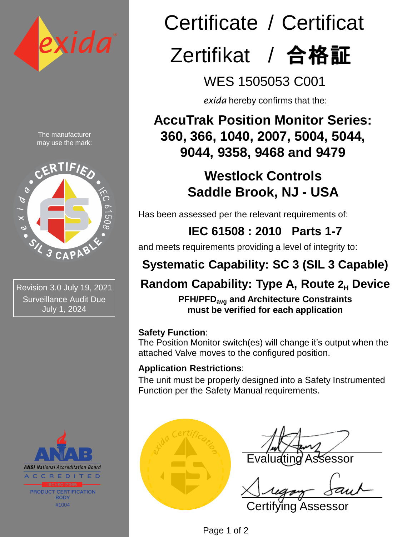

The manufacturer may use the mark:



Revision 3.0 July 19, 2021 Surveillance Audit Due July 1, 2024



# Certificate / Certificat Zertifikat / 合格証

WES 1505053 C001

*exida* hereby confirms that the:

**AccuTrak Position Monitor Series: 360, 366, 1040, 2007, 5004, 5044, 9044, 9358, 9468 and 9479** 

# **Westlock Controls Saddle Brook, NJ - USA**

Has been assessed per the relevant requirements of:

### **IEC 61508 : 2010 Parts 1-7**

and meets requirements providing a level of integrity to:

# **Systematic Capability: SC 3 (SIL 3 Capable)**

## **Random Capability: Type A, Route 2H Device**

**PFH/PFDavg and Architecture Constraints must be verified for each application**

### **Safety Function**:

The Position Monitor switch(es) will change it's output when the attached Valve moves to the configured position.

### **Application Restrictions**:

The unit must be properly designed into a Safety Instrumented Function per the Safety Manual requirements.



Sessor

Certifying Assessor

Page 1 of 2